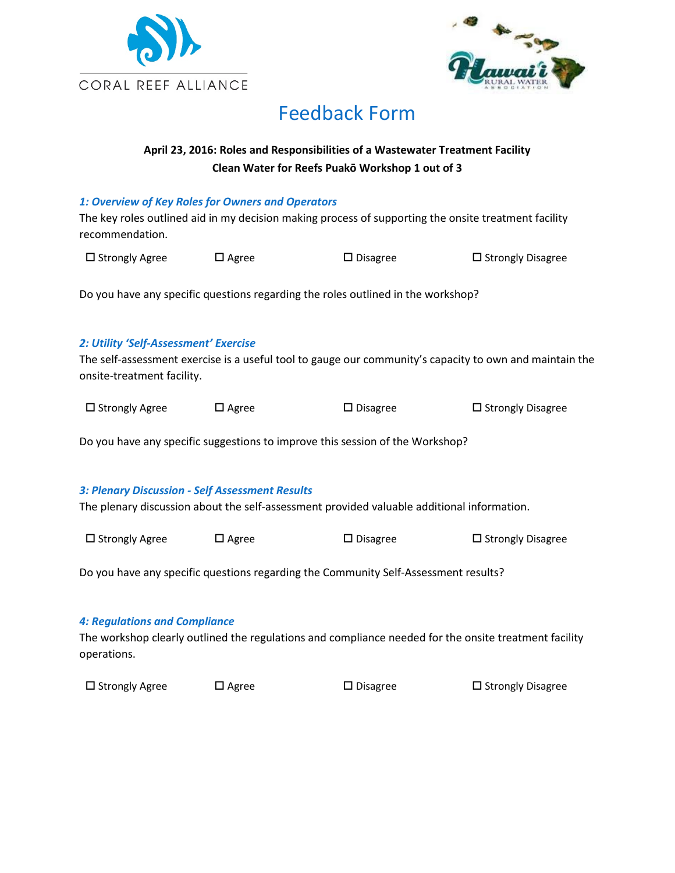



# Feedback Form

# **April 23, 2016: Roles and Responsibilities of a Wastewater Treatment Facility Clean Water for Reefs Puakō Workshop 1 out of 3**

## *1: Overview of Key Roles for Owners and Operators*

The key roles outlined aid in my decision making process of supporting the onsite treatment facility recommendation.

| $\square$ Strongly Agree | $\square$ Agree | $\Box$ Disagree | $\square$ Strongly Disagree |
|--------------------------|-----------------|-----------------|-----------------------------|

Do you have any specific questions regarding the roles outlined in the workshop?

## *2: Utility 'Self-Assessment' Exercise*

The self-assessment exercise is a useful tool to gauge our community's capacity to own and maintain the onsite-treatment facility.

| □ Strongly Agree | $\square$ Agree | $\square$ Disagree | $\square$ Strongly Disagree |
|------------------|-----------------|--------------------|-----------------------------|
|                  |                 |                    |                             |

Do you have any specific suggestions to improve this session of the Workshop?

### *3: Plenary Discussion - Self Assessment Results*

The plenary discussion about the self-assessment provided valuable additional information.

| □ Strongly Agree | $\square$ Agree | $\Box$ Disagree | $\square$ Strongly Disagree |
|------------------|-----------------|-----------------|-----------------------------|
|                  |                 |                 |                             |

Do you have any specific questions regarding the Community Self-Assessment results?

### *4: Regulations and Compliance*

The workshop clearly outlined the regulations and compliance needed for the onsite treatment facility operations.

 $\square$  Strongly Agree  $\square$  Agree  $\square$  Disagree  $\square$  Strongly Disagree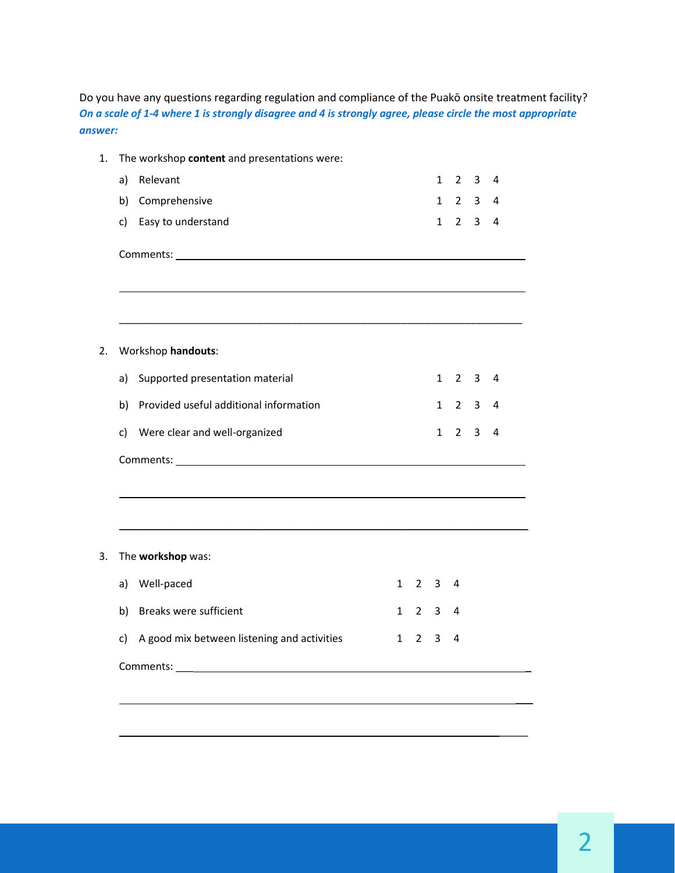Do you have any questions regarding regulation and compliance of the Puakō onsite treatment facility? *On a scale of 1-4 where 1 is strongly disagree and 4 is strongly agree, please circle the most appropriate answer:* 

| 1. | The workshop content and presentations were:      |              |                     |              |                |                         |   |  |
|----|---------------------------------------------------|--------------|---------------------|--------------|----------------|-------------------------|---|--|
|    | a)<br>Relevant                                    |              |                     | $\mathbf{1}$ | $\overline{2}$ | 3                       | 4 |  |
|    | Comprehensive<br>b)                               |              |                     | $\mathbf{1}$ |                | $2 \quad 3$             | 4 |  |
|    | Easy to understand<br>c)                          |              |                     | $\mathbf{1}$ | $\overline{2}$ | $\mathbf{3}$            | 4 |  |
|    |                                                   |              |                     |              |                |                         |   |  |
| 2. | Workshop handouts:                                |              |                     |              |                |                         |   |  |
|    | Supported presentation material<br>a)             |              |                     | $\mathbf{1}$ | $\overline{2}$ | $\overline{\mathbf{3}}$ | 4 |  |
|    | Provided useful additional information<br>b)      |              |                     | $\mathbf{1}$ | $\overline{2}$ | 3                       | 4 |  |
|    | Were clear and well-organized<br>c)               |              |                     | $\mathbf{1}$ | $\overline{2}$ | 3                       | 4 |  |
|    |                                                   |              |                     |              |                |                         |   |  |
|    |                                                   |              |                     |              |                |                         |   |  |
| 3. | The workshop was:                                 |              |                     |              |                |                         |   |  |
|    | Well-paced<br>a)                                  | $\mathbf{1}$ | 2 <sup>3</sup>      |              | 4              |                         |   |  |
|    | b) Breaks were sufficient                         |              | $1 \quad 2 \quad 3$ |              | 4              |                         |   |  |
|    | A good mix between listening and activities<br>c) | $\mathbf{1}$ | $2^{\circ}$         | 3            | 4              |                         |   |  |
|    |                                                   |              |                     |              |                |                         |   |  |
|    |                                                   |              |                     |              |                |                         |   |  |
|    |                                                   |              |                     |              |                |                         |   |  |

\_\_\_\_\_\_\_\_\_\_\_\_\_\_\_\_\_\_\_\_\_\_\_\_\_\_\_\_\_\_\_\_\_\_\_\_\_\_\_\_\_\_\_\_\_\_\_\_\_\_\_\_\_\_\_\_\_\_\_\_\_\_\_\_\_\_\_\_\_\_\_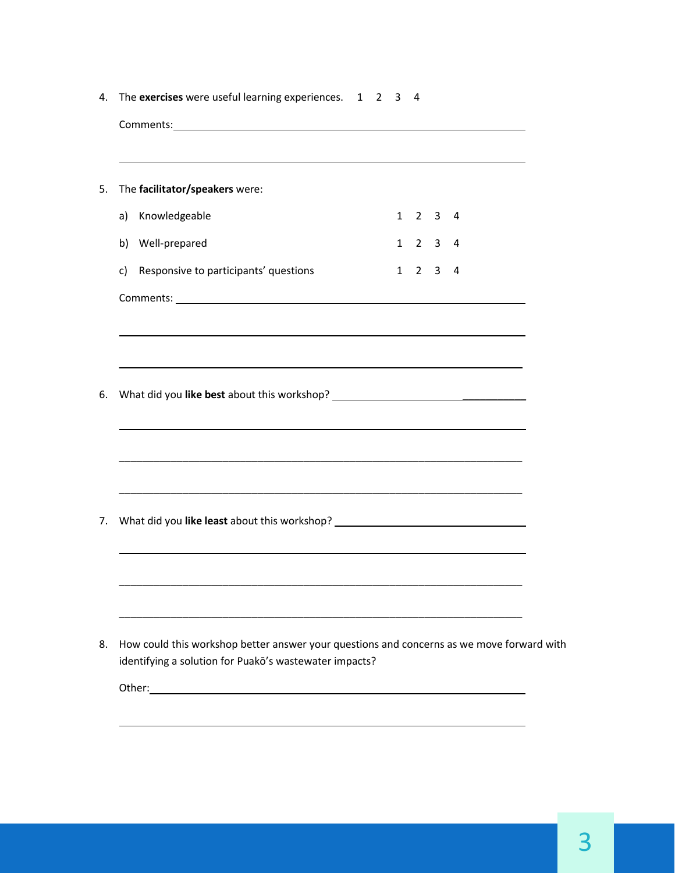| 4. | The exercises were useful learning experiences. 1 2                                                                                                 |  | 3            | 4                   |                |                |  |
|----|-----------------------------------------------------------------------------------------------------------------------------------------------------|--|--------------|---------------------|----------------|----------------|--|
|    |                                                                                                                                                     |  |              |                     |                |                |  |
|    |                                                                                                                                                     |  |              |                     |                |                |  |
| 5. | The facilitator/speakers were:                                                                                                                      |  |              |                     |                |                |  |
|    | Knowledgeable<br>a)                                                                                                                                 |  |              | $1 \quad 2 \quad 3$ |                | 4              |  |
|    | Well-prepared<br>b)                                                                                                                                 |  |              | $1 \quad 2 \quad 3$ |                | $\overline{4}$ |  |
|    | Responsive to participants' questions<br>c)                                                                                                         |  | $\mathbf{1}$ |                     | 2 <sub>3</sub> | 4              |  |
|    |                                                                                                                                                     |  |              |                     |                |                |  |
|    |                                                                                                                                                     |  |              |                     |                |                |  |
|    |                                                                                                                                                     |  |              |                     |                |                |  |
|    |                                                                                                                                                     |  |              |                     |                |                |  |
| 6. |                                                                                                                                                     |  |              |                     |                |                |  |
|    | ,我们也不会有什么。""我们的人,我们也不会有什么?""我们的人,我们也不会有什么?""我们的人,我们也不会有什么?""我们的人,我们也不会有什么?""我们的人                                                                    |  |              |                     |                |                |  |
|    |                                                                                                                                                     |  |              |                     |                |                |  |
|    |                                                                                                                                                     |  |              |                     |                |                |  |
| 7. | What did you like least about this workshop? ___________________________________                                                                    |  |              |                     |                |                |  |
|    |                                                                                                                                                     |  |              |                     |                |                |  |
|    |                                                                                                                                                     |  |              |                     |                |                |  |
|    |                                                                                                                                                     |  |              |                     |                |                |  |
|    |                                                                                                                                                     |  |              |                     |                |                |  |
| 8. | How could this workshop better answer your questions and concerns as we move forward with<br>identifying a solution for Puakō's wastewater impacts? |  |              |                     |                |                |  |
|    |                                                                                                                                                     |  |              |                     |                |                |  |
|    |                                                                                                                                                     |  |              |                     |                |                |  |
|    |                                                                                                                                                     |  |              |                     |                |                |  |